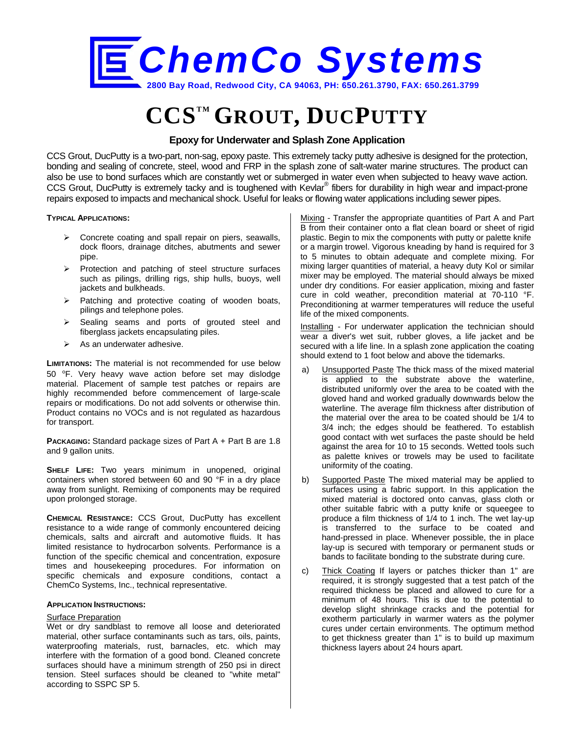

# **CCSTM GROUT, DUCPUTTY**

### **Epoxy for Underwater and Splash Zone Application**

CCS Grout, DucPutty is a two-part, non-sag, epoxy paste. This extremely tacky putty adhesive is designed for the protection, bonding and sealing of concrete, steel, wood and FRP in the splash zone of salt-water marine structures. The product can also be use to bond surfaces which are constantly wet or submerged in water even when subjected to heavy wave action. CCS Grout, DucPutty is extremely tacky and is toughened with Kevlar® fibers for durability in high wear and impact-prone repairs exposed to impacts and mechanical shock. Useful for leaks or flowing water applications including sewer pipes.

**TYPICAL APPLICATIONS:** 

- > Concrete coating and spall repair on piers, seawalls, dock floors, drainage ditches, abutments and sewer pipe.
- $\triangleright$  Protection and patching of steel structure surfaces such as pilings, drilling rigs, ship hulls, buoys, well jackets and bulkheads.
- $\triangleright$  Patching and protective coating of wooden boats, pilings and telephone poles.
- $\triangleright$  Sealing seams and ports of grouted steel and fiberglass jackets encapsulating piles.
- $\triangleright$  As an underwater adhesive.

**LIMITATIONS:** The material is not recommended for use below 50 *°*F. Very heavy wave action before set may dislodge material. Placement of sample test patches or repairs are highly recommended before commencement of large-scale repairs or modifications. Do not add solvents or otherwise thin. Product contains no VOCs and is not regulated as hazardous for transport.

**PACKAGING:** Standard package sizes of Part A + Part B are 1.8 and 9 gallon units.

**SHELF LIFE:** Two years minimum in unopened, original containers when stored between 60 and 90 °F in a dry place away from sunlight. Remixing of components may be required upon prolonged storage.

**CHEMICAL RESISTANCE:** CCS Grout, DucPutty has excellent resistance to a wide range of commonly encountered deicing chemicals, salts and aircraft and automotive fluids. It has limited resistance to hydrocarbon solvents. Performance is a function of the specific chemical and concentration, exposure times and housekeeping procedures. For information on specific chemicals and exposure conditions, contact a ChemCo Systems, Inc., technical representative.

#### **APPLICATION INSTRUCTIONS:**

#### Surface Preparation

Wet or dry sandblast to remove all loose and deteriorated material, other surface contaminants such as tars, oils, paints, waterproofing materials, rust, barnacles, etc. which may interfere with the formation of a good bond. Cleaned concrete surfaces should have a minimum strength of 250 psi in direct tension. Steel surfaces should be cleaned to "white metal" according to SSPC SP 5.

Mixing - Transfer the appropriate quantities of Part A and Part B from their container onto a flat clean board or sheet of rigid plastic. Begin to mix the components with putty or palette knife or a margin trowel. Vigorous kneading by hand is required for 3 to 5 minutes to obtain adequate and complete mixing. For mixing larger quantities of material, a heavy duty Kol or similar mixer may be employed. The material should always be mixed under dry conditions. For easier application, mixing and faster cure in cold weather, precondition material at 70-110 °F. Preconditioning at warmer temperatures will reduce the useful life of the mixed components.

Installing *-* For underwater application the technician should wear a diver's wet suit, rubber gloves, a life jacket and be secured with a life line. In a splash zone application the coating should extend to 1 foot below and above the tidemarks.

- a) Unsupported Paste The thick mass of the mixed material is applied to the substrate above the waterline, distributed uniformly over the area to be coated with the gloved hand and worked gradually downwards below the waterline. The average film thickness after distribution of the material over the area to be coated should be 1/4 to 3/4 inch; the edges should be feathered. To establish good contact with wet surfaces the paste should be held against the area for 10 to 15 seconds. Wetted tools such as palette knives or trowels may be used to facilitate uniformity of the coating.
- b) Supported Paste The mixed material may be applied to surfaces using a fabric support. In this application the mixed material is doctored onto canvas, glass cloth or other suitable fabric with a putty knife or squeegee to produce a film thickness of 1/4 to 1 inch. The wet lay-up is transferred to the surface to be coated and hand-pressed in place. Whenever possible, the in place lay-up is secured with temporary or permanent studs or bands to facilitate bonding to the substrate during cure.
- c) Thick Coating If layers or patches thicker than 1" are required, it is strongly suggested that a test patch of the required thickness be placed and allowed to cure for a minimum of 48 hours. This is due to the potential to develop slight shrinkage cracks and the potential for exotherm particularly in warmer waters as the polymer cures under certain environments. The optimum method to get thickness greater than 1" is to build up maximum thickness layers about 24 hours apart.